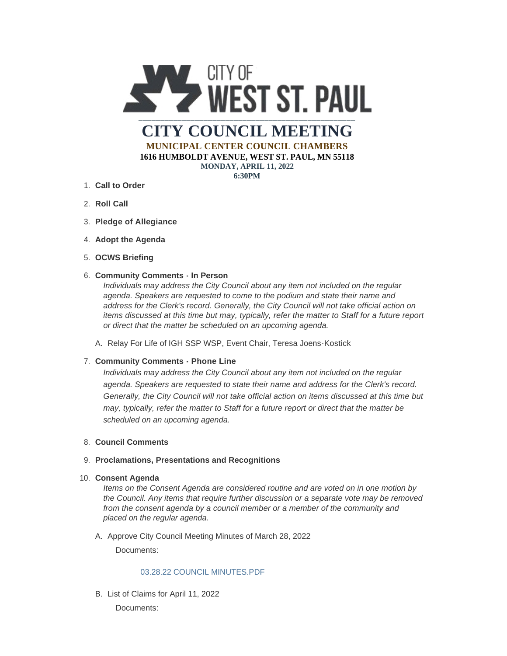

**MUNICIPAL CENTER COUNCIL CHAMBERS 1616 HUMBOLDT AVENUE, WEST ST. PAUL, MN 55118 MONDAY, APRIL 11, 2022**

**6:30PM**

- **Call to Order** 1.
- 2. **Roll Call**
- **Pledge of Allegiance** 3.
- 4. Adopt the Agenda
- **OCWS Briefing** 5.

### **Community Comments - In Person** 6.

*Individuals may address the City Council about any item not included on the regular agenda. Speakers are requested to come to the podium and state their name and address for the Clerk's record. Generally, the City Council will not take official action on items discussed at this time but may, typically, refer the matter to Staff for a future report or direct that the matter be scheduled on an upcoming agenda.*

A. Relay For Life of IGH SSP WSP, Event Chair, Teresa Joens-Kostick

# **Community Comments - Phone Line** 7.

*Individuals may address the City Council about any item not included on the regular agenda. Speakers are requested to state their name and address for the Clerk's record. Generally, the City Council will not take official action on items discussed at this time but may, typically, refer the matter to Staff for a future report or direct that the matter be scheduled on an upcoming agenda.*

### **Council Comments** 8.

### **Proclamations, Presentations and Recognitions** 9.

**Consent Agenda** 10.

*Items on the Consent Agenda are considered routine and are voted on in one motion by the Council. Any items that require further discussion or a separate vote may be removed from the consent agenda by a council member or a member of the community and placed on the regular agenda.*

A. Approve City Council Meeting Minutes of March 28, 2022

Documents:

### [03.28.22 COUNCIL MINUTES.PDF](https://www.wspmn.gov/AgendaCenter/ViewFile/Item/12807?fileID=19766)

B. List of Claims for April 11, 2022

Documents: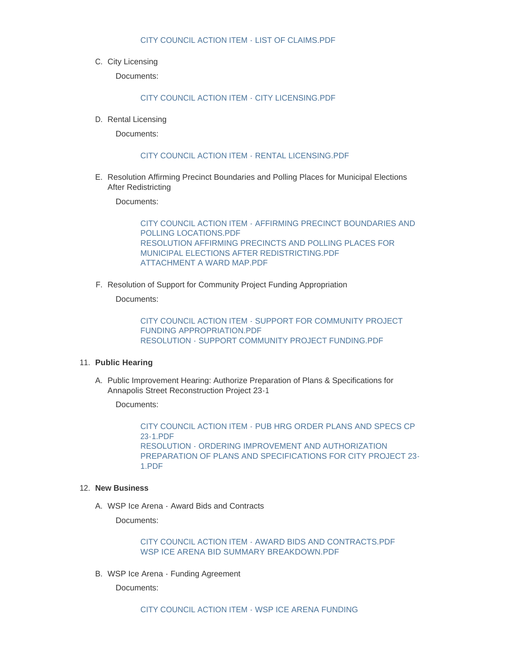### [CITY COUNCIL ACTION ITEM - LIST OF CLAIMS.PDF](https://www.wspmn.gov/AgendaCenter/ViewFile/Item/12808?fileID=19767)

C. City Licensing

Documents:

[CITY COUNCIL ACTION ITEM - CITY LICENSING.PDF](https://www.wspmn.gov/AgendaCenter/ViewFile/Item/12806?fileID=19765)

D. Rental Licensing

Documents:

### [CITY COUNCIL ACTION ITEM - RENTAL LICENSING.PDF](https://www.wspmn.gov/AgendaCenter/ViewFile/Item/12810?fileID=19768)

E. Resolution Affirming Precinct Boundaries and Polling Places for Municipal Elections After Redistricting

Documents:

[CITY COUNCIL ACTION ITEM - AFFIRMING PRECINCT BOUNDARIES AND](https://www.wspmn.gov/AgendaCenter/ViewFile/Item/12812?fileID=19781)  POLLING LOCATIONS.PDF [RESOLUTION AFFIRMING PRECINCTS AND POLLING PLACES FOR](https://www.wspmn.gov/AgendaCenter/ViewFile/Item/12812?fileID=19777)  MUNICIPAL ELECTIONS AFTER REDISTRICTING.PDF [ATTACHMENT A WARD MAP.PDF](https://www.wspmn.gov/AgendaCenter/ViewFile/Item/12812?fileID=19802)

F. Resolution of Support for Community Project Funding Appropriation

Documents:

[CITY COUNCIL ACTION ITEM - SUPPORT FOR COMMUNITY PROJECT](https://www.wspmn.gov/AgendaCenter/ViewFile/Item/12813?fileID=19782)  FUNDING APPROPRIATION.PDF [RESOLUTION - SUPPORT COMMUNITY PROJECT FUNDING.PDF](https://www.wspmn.gov/AgendaCenter/ViewFile/Item/12813?fileID=19784)

### **Public Hearing** 11.

A. Public Improvement Hearing: Authorize Preparation of Plans & Specifications for Annapolis Street Reconstruction Project 23-1

Documents:

[CITY COUNCIL ACTION ITEM - PUB HRG ORDER PLANS AND SPECS CP](https://www.wspmn.gov/AgendaCenter/ViewFile/Item/12753?fileID=19762)  23-1.PDF RESOLUTION - ORDERING IMPROVEMENT AND AUTHORIZATION [PREPARATION OF PLANS AND SPECIFICATIONS FOR CITY PROJECT 23-](https://www.wspmn.gov/AgendaCenter/ViewFile/Item/12753?fileID=19761) 1.PDF

#### **New Business** 12.

WSP Ice Arena - Award Bids and Contracts A.

Documents:

[CITY COUNCIL ACTION ITEM - AWARD BIDS AND CONTRACTS.PDF](https://www.wspmn.gov/AgendaCenter/ViewFile/Item/12814?fileID=19786) [WSP ICE ARENA BID SUMMARY BREAKDOWN.PDF](https://www.wspmn.gov/AgendaCenter/ViewFile/Item/12814?fileID=19874)

WSP Ice Arena - Funding Agreement B.

Documents: